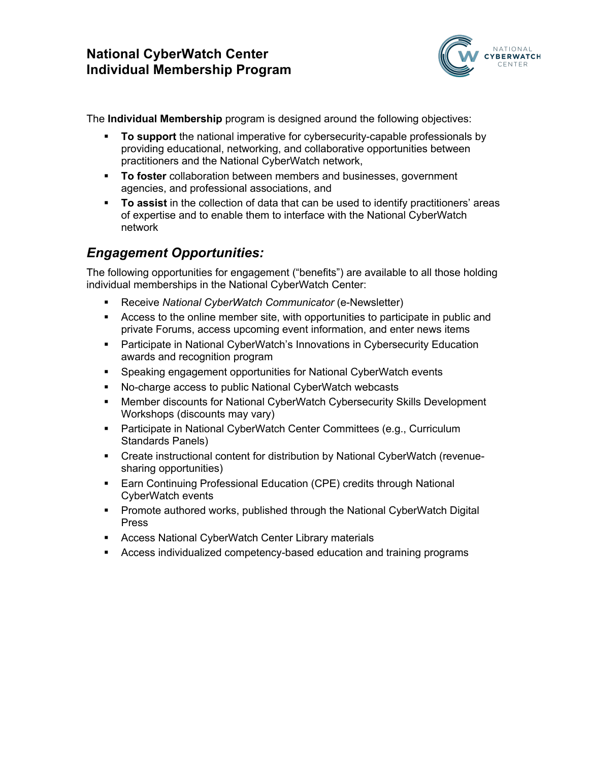

The **Individual Membership** program is designed around the following objectives:

- § **To support** the national imperative for cybersecurity-capable professionals by providing educational, networking, and collaborative opportunities between practitioners and the National CyberWatch network,
- § **To foster** collaboration between members and businesses, government agencies, and professional associations, and
- § **To assist** in the collection of data that can be used to identify practitioners' areas of expertise and to enable them to interface with the National CyberWatch network

## *Engagement Opportunities:*

The following opportunities for engagement ("benefits") are available to all those holding individual memberships in the National CyberWatch Center:

- § Receive *National CyberWatch Communicator* (e-Newsletter)
- § Access to the online member site, with opportunities to participate in public and private Forums, access upcoming event information, and enter news items
- Participate in National CyberWatch's Innovations in Cybersecurity Education awards and recognition program
- Speaking engagement opportunities for National CyberWatch events
- No-charge access to public National CyberWatch webcasts
- Member discounts for National CyberWatch Cybersecurity Skills Development Workshops (discounts may vary)
- Participate in National CyberWatch Center Committees (e.g., Curriculum Standards Panels)
- Create instructional content for distribution by National CyberWatch (revenuesharing opportunities)
- Earn Continuing Professional Education (CPE) credits through National CyberWatch events
- § Promote authored works, published through the National CyberWatch Digital Press
- Access National CyberWatch Center Library materials
- § Access individualized competency-based education and training programs